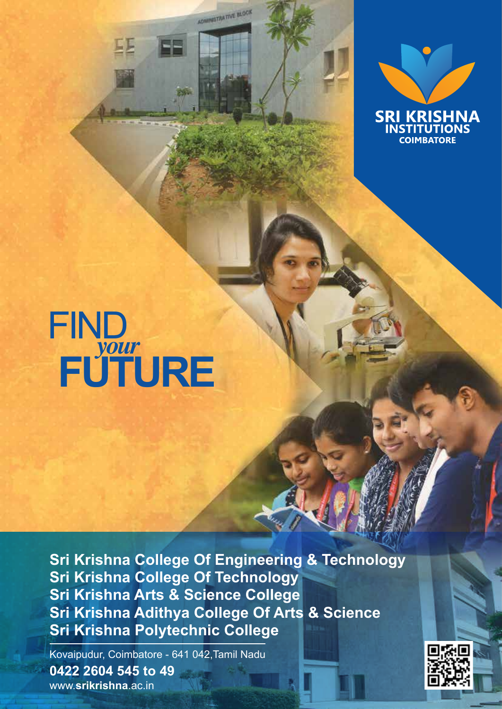



# FIND *your* **FUTURE**

耳耳

**Sri Krishna College Of Engineering & Technology Sri Krishna College Of Technology Sri Krishna Arts & Science College Sri Krishna Adithya College Of Arts & Science Sri Krishna Polytechnic College**

**0422 2604 545 to 49** www.**srikrishna**.ac.in Kovaipudur, Coimbatore - 641 042,Tamil Nadu

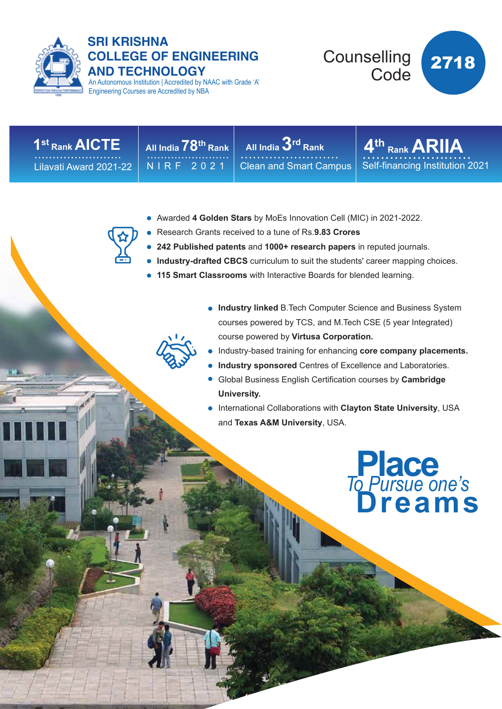

#### **SRI KRISHNA COLLEGE OF ENGINEERING AND TECHNOLOGY**

An Autonomous Institution | Accredited by NAAC with Grade 'A' Engineering Courses are Accredited by NBA



Lilavati Award 2021-22

NIRF 2021

**All India 78th Rank** …………………… **1st Rank AICTE** …………………… **4th All India 3rd Rank** …………………… Clean and Smart Campus

 $4<sup>th</sup>$  Rank ARIIA Self-financing Institution 2021

- Awarded **4 Golden Stars** by MoEs Innovation Cell (MIC) in 2021-2022.
- Research Grants received to a tune of Rs.**9.83 Crores**
- **242 Published patents** and **1000+ research papers** in reputed journals.
- **Industry-drafted CBCS** curriculum to suit the students' career mapping choices.
- **115 Smart Classrooms** with Interactive Boards for blended learning.
	- **Industry linked** B.Tech Computer Science and Business System courses powered by TCS, and M.Tech CSE (5 year Integrated) course powered by **Virtusa Corporation.**
	- Industry-based training for enhancing **core company placements.**
	- **Industry sponsored** Centres of Excellence and Laboratories.
	- Global Business English Certification courses by **Cambridge University.**
	- International Collaborations with **Clayton State University**, USA and **Texas A&M University**, USA.

**Place Dreams** *To Pursue one's*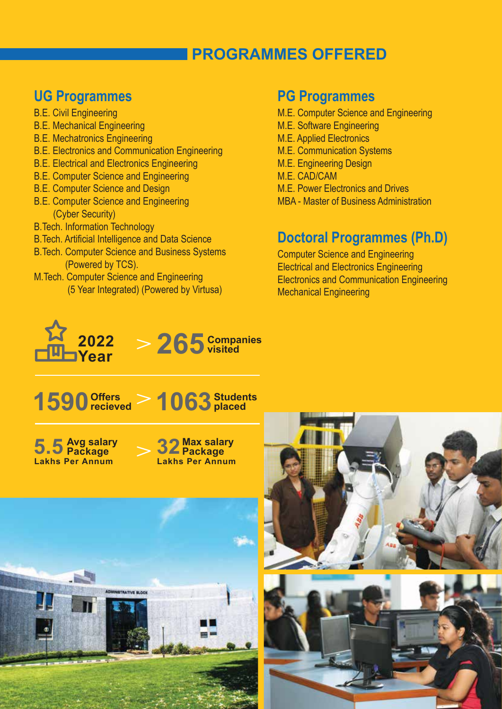# **PROGRAMMES OFFERED**

#### **UG Programmes**

- B.E. Civil Engineering
- B.E. Mechanical Engineering
- B.E. Mechatronics Engineering
- B.E. Electronics and Communication Engineering
- B.E. Electrical and Electronics Engineering
- B.E. Computer Science and Engineering
- B.E. Computer Science and Design
- B.E. Computer Science and Engineering (Cyber Security)
- B.Tech. Information Technology
- B.Tech. Artificial Intelligence and Data Science
- B.Tech. Computer Science and Business Systems (Powered by TCS).
- M.Tech. Computer Science and Engineering (5 Year Integrated) (Powered by Virtusa)

#### **PG Programmes**

- M.E. Computer Science and Engineering
- M.E. Software Engineering
- M.E. Applied Electronics
- M.E. Communication Systems
- M.E. Engineering Design
- M.E. CAD/CAM
- M.E. Power Electronics and Drives
- MBA Master of Business Administration

## **Doctoral Programmes (Ph.D)**

Computer Science and Engineering Electrical and Electronics Engineering Electronics and Communication Engineering Mechanical Engineering











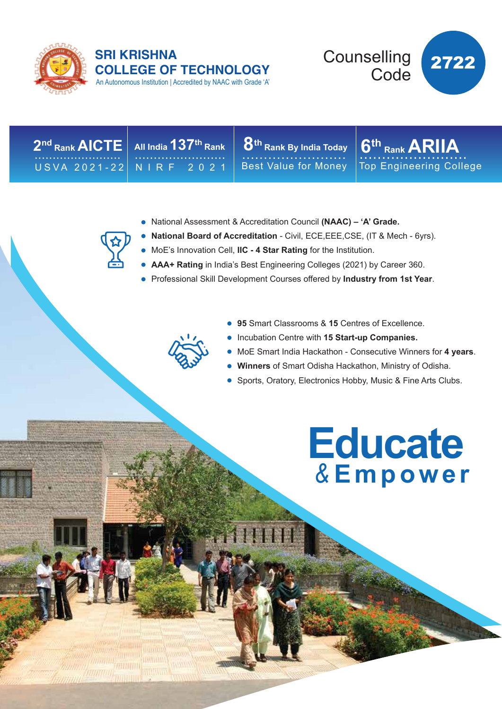

#### An Autonomous Institution | Accredited by NAAC with Grade 'A' **SRI KRISHNA COLLEGE OF TECHNOLOGY**



**All India 137th Rank** …………………… **2nd Rank AICTE** USVA 2021-22

NIRF 2021

 $2^{\mathsf{nd}}$  Rank  $\mathsf{AICTE} \mathbin{\bigg|}$  All India  $137^{\mathsf{th}}$  Rank  $\mathbin{\bigg|} 8^{\mathsf{th}}$  Rank By India Today  $\mathbin{\bigg|} 6^{\mathsf{th}}$ Best Value for Money **U** Rank by India Today

 $6<sup>th</sup>$  Rank **ARIIA** Top Engineering College

- National Assessment & Accreditation Council **(NAAC) 'A' Grade.**
- **National Board of Accreditation** Civil, ECE,EEE,CSE, (IT & Mech 6yrs).
- MoE's Innovation Cell, **IIC 4 Star Rating** for the Institution.
- **AAA+ Rating** in India's Best Engineering Colleges (2021) by Career 360.
- Professional Skill Development Courses offered by **Industry from 1st Year**.



- **95** Smart Classrooms & **15** Centres of Excellence.
- **Incubation Centre with 15 Start-up Companies.**
- MoE Smart India Hackathon Consecutive Winners for **4 years**.
- **Winners** of Smart Odisha Hackathon, Ministry of Odisha.
- Sports, Oratory, Electronics Hobby, Music & Fine Arts Clubs.

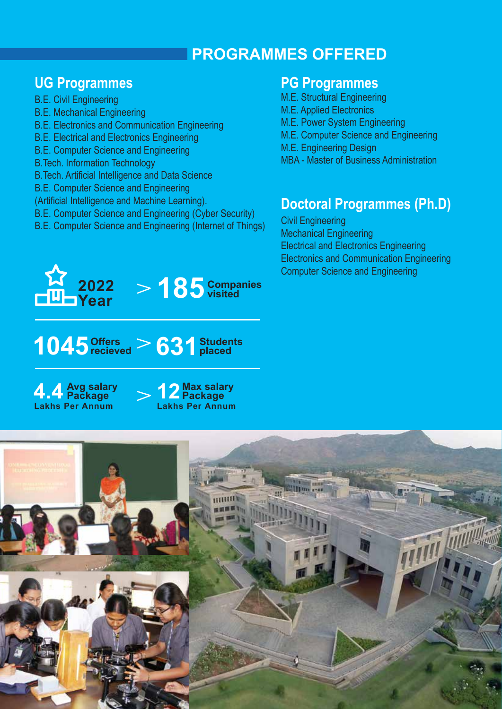# **PROGRAMMES OFFERED**

# **UG Programmes**

- B.E. Civil Engineering
- B.E. Mechanical Engineering
- B.E. Electronics and Communication Engineering
- B.E. Electrical and Electronics Engineering
- B.E. Computer Science and Engineering
- B.Tech. Information Technology
- B.Tech. Artificial Intelligence and Data Science
- B.E. Computer Science and Engineering
- (Artificial Intelligence and Machine Learning).
- B.E. Computer Science and Engineering (Cyber Security)
- B.E. Computer Science and Engineering (Internet of Things)



# 1045  $\frac{80}{2}$   $\frac{9}{2}$   $\frac{631}{2}$   $\frac{5}{2}$   $\frac{9}{2}$   $\frac{63}{2}$   $\frac{1}{2}$   $\frac{5}{2}$   $\frac{1}{2}$   $\frac{1}{2}$   $\frac{1}{2}$   $\frac{1}{2}$   $\frac{1}{2}$   $\frac{1}{2}$   $\frac{1}{2}$   $\frac{1}{2}$   $\frac{1}{2}$   $\frac{1}{2}$   $\frac{1}{2}$   $\frac{1}{2}$   $\frac{1}{2}$   $\frac$ **recieved**





**visited**

#### **PG Programmes**

- M.E. Structural Engineering
- M.E. Applied Electronics
- M.E. Power System Engineering
- M.E. Computer Science and Engineering
- M.E. Engineering Design
- MBA Master of Business Administration

# **Doctoral Programmes (Ph.D)**

Civil Engineering Mechanical Engineering Electrical and Electronics Engineering Electronics and Communication Engineering Computer Science and Engineering

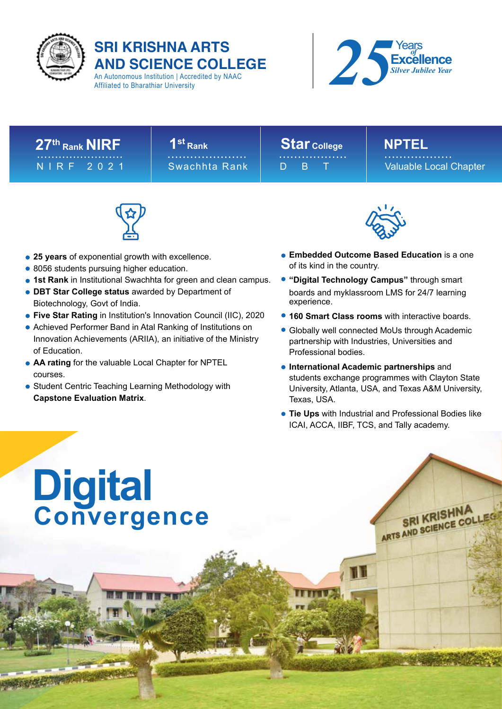

# **SRI KRISHNA ARTS AND SCIENCE COLLEGE**

An Autonomous Institution | Accredited by NAAC Affiliated to Bharathiar University



# 27<sup>th</sup> Rank NIRF | 1<sup>st</sup> Rank | Star College | NPTEL

#### **1st Rank** NIRF 2021 Swachhta Rank ………………… **Star College** ……………… **NPTEL**

D<sub>B</sub>T

Valuable Local Chapter

SRI KRISHNA SRI KRISTING



- **25 years** of exponential growth with excellence.
- 8056 students pursuing higher education.
- **1st Rank** in Institutional Swachhta for green and clean campus.
- **DBT Star College status** awarded by Department of Biotechnology, Govt of India.
- **Five Star Rating** in Institution's Innovation Council (IIC), 2020
- Achieved Performer Band in Atal Ranking of Institutions on Innovation Achievements (ARIIA), an initiative of the Ministry of Education.
- **AA rating** for the valuable Local Chapter for NPTEL courses.
- Student Centric Teaching Learning Methodology with **Capstone Evaluation Matrix**.



- **Embedded Outcome Based Education** is a one of its kind in the country.
- **"Digital Technology Campus"** through smart boards and myklassroom LMS for 24/7 learning experience.
- **160 Smart Class rooms** with interactive boards.
- Globally well connected MoUs through Academic partnership with Industries, Universities and Professional bodies.
- **International Academic partnerships** and students exchange programmes with Clayton State University, Atlanta, USA, and Texas A&M University, Texas, USA.
- **Tie Ups** with Industrial and Professional Bodies like ICAI, ACCA, IIBF, TCS, and Tally academy.

# **Digital Convergence**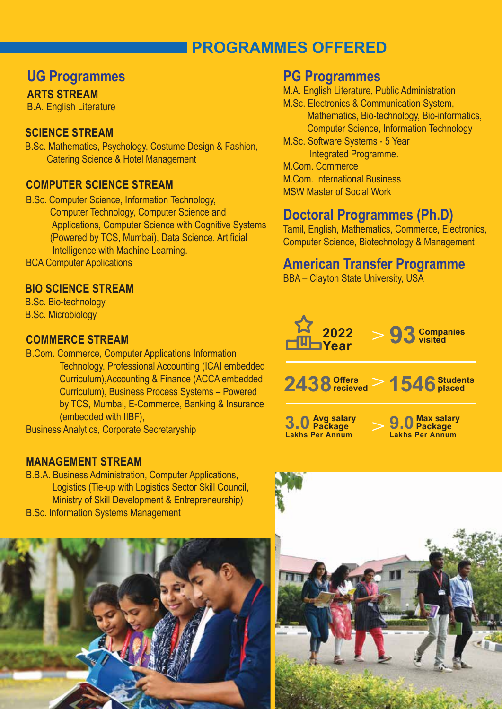# **PROGRAMMES OFFERED**

## **UG Programmes**

#### **ARTS STREAM**

B.A. English Literature

#### **SCIENCE STREAM**

B.Sc. Mathematics, Psychology, Costume Design & Fashion, Catering Science & Hotel Management

#### **COMPUTER SCIENCE STREAM**

- B.Sc. Computer Science, Information Technology, Computer Technology, Computer Science and Applications, Computer Science with Cognitive Systems (Powered by TCS, Mumbai), Data Science, Artificial Intelligence with Machine Learning.
- BCA Computer Applications

#### **BIO SCIENCE STREAM**

B.Sc. Bio-technology B.Sc. Microbiology

#### **COMMERCE STREAM**

B.Com. Commerce, Computer Applications Information Technology, Professional Accounting (ICAI embedded Curriculum),Accounting & Finance (ACCA embedded Curriculum), Business Process Systems – Powered by TCS, Mumbai, E-Commerce, Banking & Insurance (embedded with IIBF),

Business Analytics, Corporate Secretaryship

#### **MANAGEMENT STREAM**

B.B.A. Business Administration, Computer Applications, Logistics (Tie-up with Logistics Sector Skill Council, Ministry of Skill Development & Entrepreneurship) B.Sc. Information Systems Management



#### **PG Programmes**

M.A. English Literature, Public Administration

- M.Sc. Electronics & Communication System, Mathematics, Bio-technology, Bio-informatics, Computer Science, Information Technology
- M.Sc. Software Systems 5 Year Integrated Programme.
- M.Com. Commerce
- M.Com. International Business
- MSW Master of Social Work

### **Doctoral Programmes (Ph.D)**

Tamil, English, Mathematics, Commerce, Electronics, Computer Science, Biotechnology & Management

#### **American Transfer Programme**

BBA – Clayton State University, USA



**1546Students 2438 placed Offers recieved**

**3.0 Avg salary Package Lakhs Per Annum**

**Max salary 9.0 Package Lakhs Per Annum**